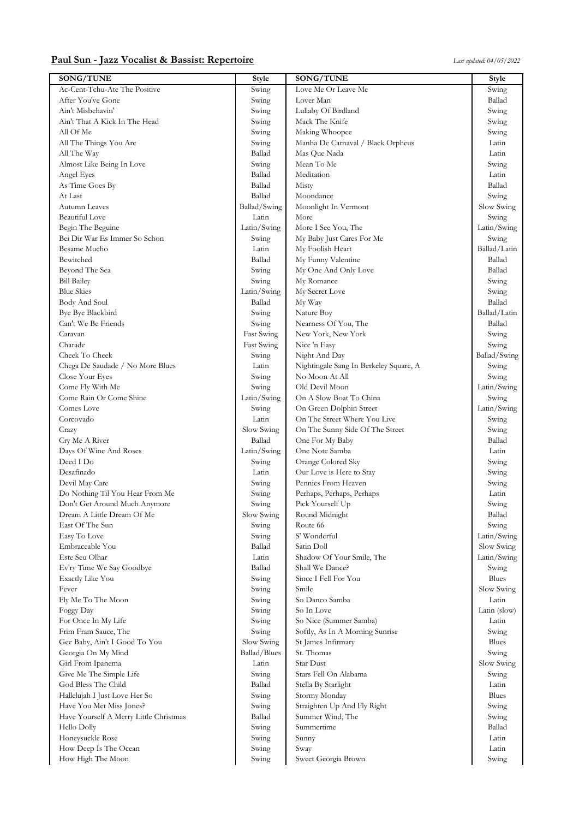## **Paul Sun - Jazz Vocalist & Bassist: Repertoire** *Last updated: 04/05/2022*

| SONG/TUNE                                    | <b>Style</b>   | <b>SONG/TUNE</b>                       | <b>Style</b>        |
|----------------------------------------------|----------------|----------------------------------------|---------------------|
| Ac-Cent-Tchu-Ate The Positive                | Swing          | Love Me Or Leave Me                    | Swing               |
| After You've Gone                            | Swing          | Lover Man                              | Ballad              |
| Ain't Misbehavin'                            | Swing          | Lullaby Of Birdland                    | Swing               |
| Ain't That A Kick In The Head                | Swing          | Mack The Knife                         | Swing               |
| All Of Me                                    | Swing          | Making Whoopee                         | Swing               |
| All The Things You Are                       | Swing          | Manha De Carnaval / Black Orpheus      | Latin               |
| All The Way                                  | Ballad         | Mas Que Nada                           | Latin               |
| Almost Like Being In Love                    | Swing          | Mean To Me                             | Swing               |
| Angel Eyes                                   | Ballad         | Meditation                             | Latin               |
| As Time Goes By                              | Ballad         | Misty                                  | Ballad              |
| At Last                                      | Ballad         | Moondance                              | Swing               |
| Autumn Leaves                                | Ballad/Swing   | Moonlight In Vermont                   | Slow Swing          |
| <b>Beautiful Love</b>                        | Latin          | More                                   | Swing               |
| Begin The Beguine                            | Latin/Swing    | More I See You, The                    | Latin/Swing         |
| Bei Dir War Es Immer So Schon                | Swing          | My Baby Just Cares For Me              | Swing               |
| Besame Mucho                                 | Latin          | My Foolish Heart                       | Ballad/Latin        |
| Bewitched                                    | Ballad         | My Funny Valentine                     | Ballad              |
| Beyond The Sea                               | Swing          | My One And Only Love                   | Ballad              |
| <b>Bill Bailey</b>                           | Swing          | My Romance                             | Swing               |
| <b>Blue Skies</b>                            | Latin/Swing    | My Secret Love                         | Swing               |
| Body And Soul                                | Ballad         | My Way                                 | Ballad              |
| Bye Bye Blackbird                            | Swing          | Nature Boy                             | Ballad/Latin        |
| Can't We Be Friends                          | Swing          | Nearness Of You, The                   | Ballad              |
| Caravan                                      | Fast Swing     | New York, New York                     | Swing               |
| Charade                                      | Fast Swing     | Nice 'n Easy                           | Swing               |
| Cheek To Cheek                               | Swing          | Night And Day                          | Ballad/Swing        |
| Chega De Saudade / No More Blues             | Latin          | Nightingale Sang In Berkeley Square, A | Swing               |
| Close Your Eyes                              | Swing          | No Moon At All                         | Swing               |
| Come Fly With Me                             | Swing          | Old Devil Moon                         | Latin/Swing         |
| Come Rain Or Come Shine                      | Latin/Swing    | On A Slow Boat To China                | Swing               |
| Comes Love                                   | Swing          | On Green Dolphin Street                | Latin/Swing         |
| Corcovado                                    | Latin          | On The Street Where You Live           | Swing               |
| Crazy                                        | Slow Swing     | On The Sunny Side Of The Street        | Swing               |
| Cry Me A River                               | Ballad         | One For My Baby                        | Ballad              |
| Days Of Wine And Roses                       | Latin/Swing    | One Note Samba                         | Latin               |
| Deed I Do                                    | Swing          | Orange Colored Sky                     | Swing               |
| Desafinado                                   | Latin          | Our Love is Here to Stay               | Swing               |
| Devil May Care                               | Swing          | Pennies From Heaven                    | Swing               |
| Do Nothing Til You Hear From Me              | Swing          | Perhaps, Perhaps, Perhaps              | Latin               |
| Don't Get Around Much Anymore                | Swing          | Pick Yourself Up                       | Swing               |
| Dream A Little Dream Of Me                   | Slow Swing     | Round Midnight                         | Ballad              |
| East Of The Sun                              | Swing          | Route 66                               | Swing               |
| Easy To Love                                 | Swing          | S' Wonderful                           | Latin/Swing         |
| Embraceable You                              | Ballad         | Satin Doll                             | Slow Swing          |
| Este Seu Olhar                               | Latin          | Shadow Of Your Smile, The              | Latin/Swing         |
| Ev'ry Time We Say Goodbye                    | Ballad         | Shall We Dance?                        | Swing               |
| Exactly Like You                             | Swing          | Since I Fell For You                   | Blues               |
| Fever                                        | Swing          | Smile                                  | Slow Swing          |
| Fly Me To The Moon                           | Swing          | So Danco Samba                         | Latin               |
| Foggy Day                                    | Swing          | So In Love                             | Latin (slow)        |
| For Once In My Life                          | Swing          | So Nice (Summer Samba)                 | Latin               |
| Frim Fram Sauce, The                         | Swing          | Softly, As In A Morning Sunrise        | Swing               |
| Gee Baby, Ain't I Good To You                | Slow Swing     | St James Infirmary                     | Blues               |
| Georgia On My Mind                           | Ballad/Blues   | St. Thomas                             | Swing               |
|                                              |                | Star Dust                              |                     |
| Girl From Ipanema<br>Give Me The Simple Life | Latin<br>Swing | Stars Fell On Alabama                  | Slow Swing<br>Swing |
| God Bless The Child                          | Ballad         |                                        | Latin               |
|                                              |                | Stella By Starlight                    |                     |
| Hallelujah I Just Love Her So                | Swing          | Stormy Monday                          | Blues               |
| Have You Met Miss Jones?                     | Swing          | Straighten Up And Fly Right            | Swing               |
| Have Yourself A Merry Little Christmas       | Ballad         | Summer Wind, The                       | Swing               |
| Hello Dolly                                  | Swing          | Summertime                             | Ballad              |
| Honeysuckle Rose                             | Swing          | Sunny                                  | Latin               |
| How Deep Is The Ocean                        | Swing          | Sway                                   | Latin               |
| How High The Moon                            | Swing          | Sweet Georgia Brown                    | Swing               |